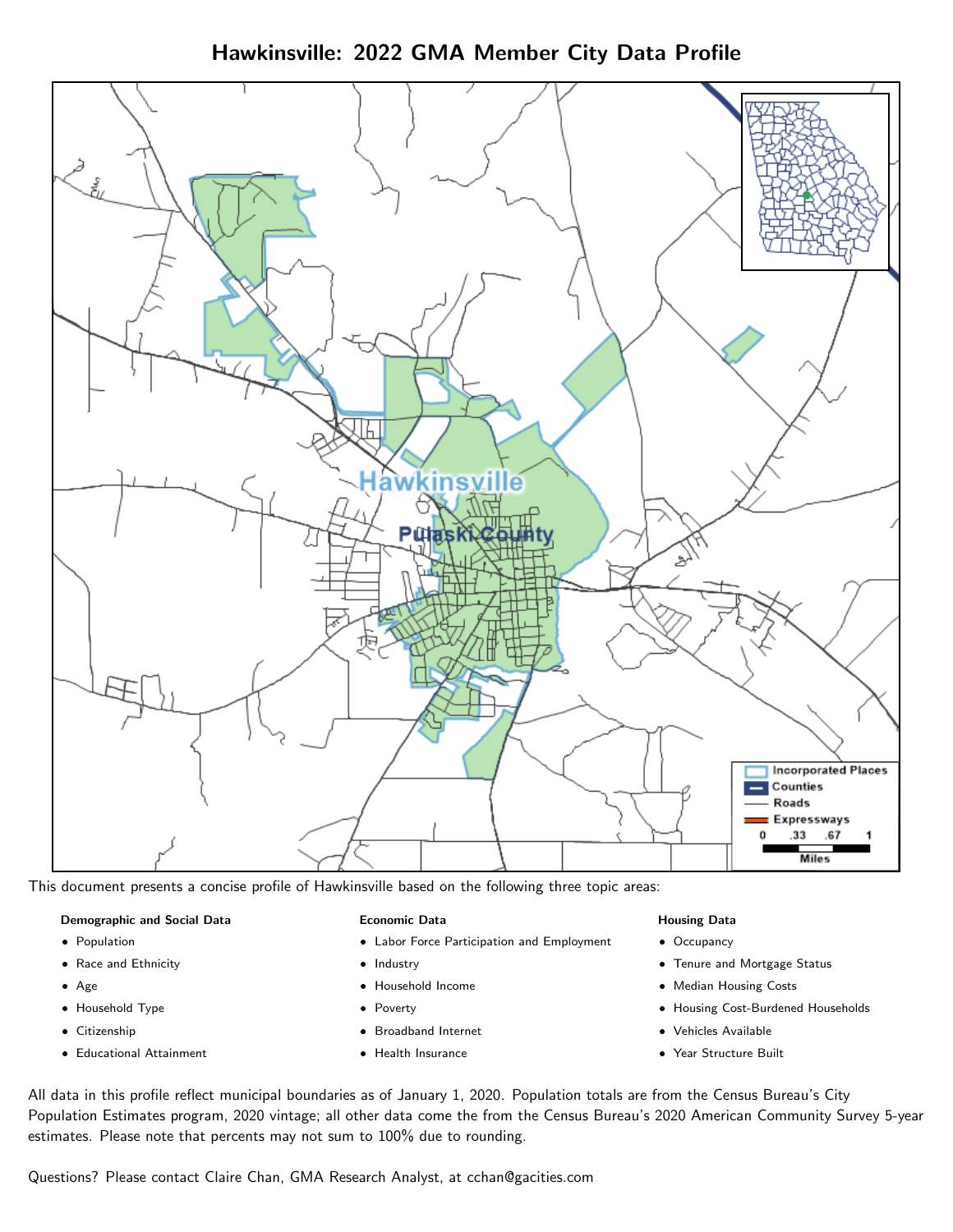Hawkinsville: 2022 GMA Member City Data Profile



This document presents a concise profile of Hawkinsville based on the following three topic areas:

#### Demographic and Social Data

- **•** Population
- Race and Ethnicity
- Age
- Household Type
- **Citizenship**
- Educational Attainment

#### Economic Data

- Labor Force Participation and Employment
- Industry
- Household Income
- Poverty
- Broadband Internet
- Health Insurance

#### Housing Data

- Occupancy
- Tenure and Mortgage Status
- Median Housing Costs
- Housing Cost-Burdened Households
- Vehicles Available
- Year Structure Built

All data in this profile reflect municipal boundaries as of January 1, 2020. Population totals are from the Census Bureau's City Population Estimates program, 2020 vintage; all other data come the from the Census Bureau's 2020 American Community Survey 5-year estimates. Please note that percents may not sum to 100% due to rounding.

Questions? Please contact Claire Chan, GMA Research Analyst, at [cchan@gacities.com.](mailto:cchan@gacities.com)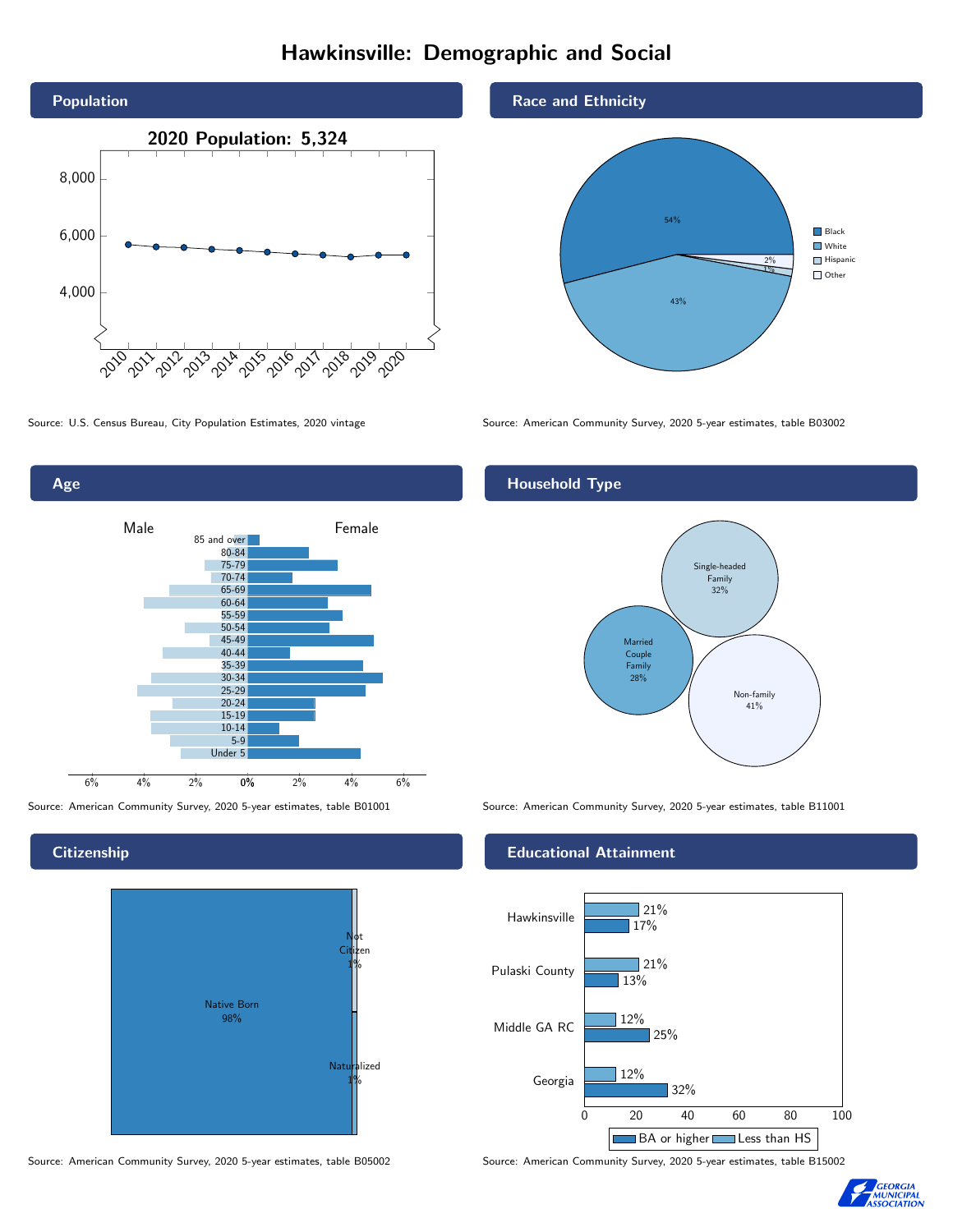# Hawkinsville: Demographic and Social





**Citizenship** 



Source: American Community Survey, 2020 5-year estimates, table B05002 Source: American Community Survey, 2020 5-year estimates, table B15002

### Race and Ethnicity



Source: U.S. Census Bureau, City Population Estimates, 2020 vintage Source: American Community Survey, 2020 5-year estimates, table B03002

# Household Type



Source: American Community Survey, 2020 5-year estimates, table B01001 Source: American Community Survey, 2020 5-year estimates, table B11001

#### Educational Attainment



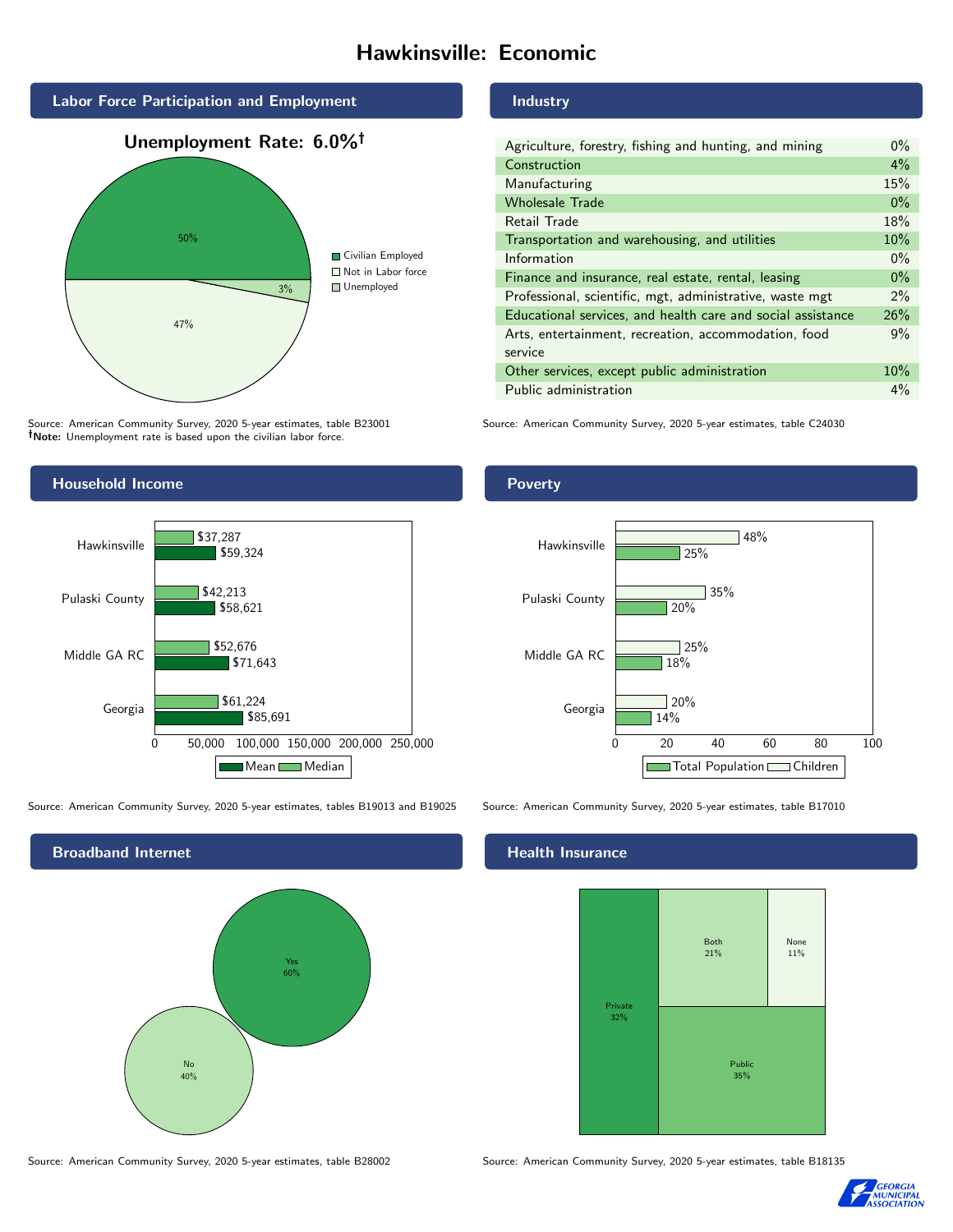# Hawkinsville: Economic



Source: American Community Survey, 2020 5-year estimates, table B23001 Note: Unemployment rate is based upon the civilian labor force.

# Household Income



Source: American Community Survey, 2020 5-year estimates, tables B19013 and B19025 Source: American Community Survey, 2020 5-year estimates, table B17010

Broadband Internet No 40% Yes 60%

Source: American Community Survey, 2020 5-year estimates, table B28002 Source: American Community Survey, 2020 5-year estimates, table B18135

#### Industry

| Agriculture, forestry, fishing and hunting, and mining      | $0\%$ |
|-------------------------------------------------------------|-------|
| Construction                                                | $4\%$ |
| Manufacturing                                               | 15%   |
| <b>Wholesale Trade</b>                                      | $0\%$ |
| Retail Trade                                                | 18%   |
| Transportation and warehousing, and utilities               | 10%   |
| Information                                                 | $0\%$ |
| Finance and insurance, real estate, rental, leasing         | $0\%$ |
| Professional, scientific, mgt, administrative, waste mgt    | $2\%$ |
| Educational services, and health care and social assistance | 26%   |
| Arts, entertainment, recreation, accommodation, food        | 9%    |
| service                                                     |       |
| Other services, except public administration                | 10%   |
| Public administration                                       | $4\%$ |

Source: American Community Survey, 2020 5-year estimates, table C24030

## Poverty



#### Health Insurance